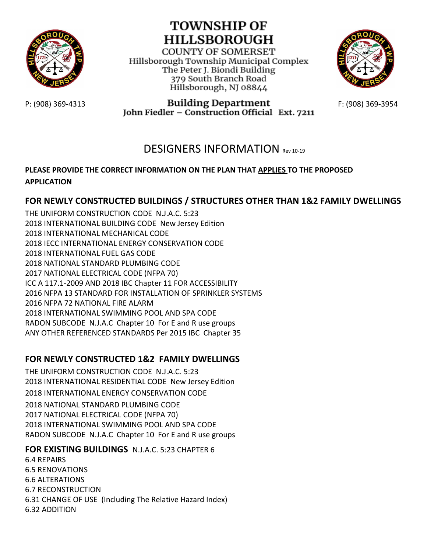

# **TOWNSHIP OF HILLSBOROUGH**

**COUNTY OF SOMERSET** Hillsborough Township Municipal Complex The Peter J. Biondi Building 379 South Branch Road Hillsborough, NJ 08844



P: (908) 369-4313 **Building Department**<br>**1908) 369-3954** Tohn Fiedler – Construction Official Ext. 7211

## DESIGNERS INFORMATION Rev 10-19

#### **PLEASE PROVIDE THE CORRECT INFORMATION ON THE PLAN THAT APPLIES TO THE PROPOSED APPLICATION**

### **FOR NEWLY CONSTRUCTED BUILDINGS / STRUCTURES OTHER THAN 1&2 FAMILY DWELLINGS**

THE UNIFORM CONSTRUCTION CODE N.J.A.C. 5:23 2018 INTERNATIONAL BUILDING CODE New Jersey Edition 2018 INTERNATIONAL MECHANICAL CODE 2018 IECC INTERNATIONAL ENERGY CONSERVATION CODE 2018 INTERNATIONAL FUEL GAS CODE 2018 NATIONAL STANDARD PLUMBING CODE 2017 NATIONAL ELECTRICAL CODE (NFPA 70) ICC A 117.1-2009 AND 2018 IBC Chapter 11 FOR ACCESSIBILITY 2016 NFPA 13 STANDARD FOR INSTALLATION OF SPRINKLER SYSTEMS 2016 NFPA 72 NATIONAL FIRE ALARM 2018 INTERNATIONAL SWIMMING POOL AND SPA CODE RADON SUBCODE N.J.A.C Chapter 10 For E and R use groups ANY OTHER REFERENCED STANDARDS Per 2015 IBC Chapter 35

#### **FOR NEWLY CONSTRUCTED 1&2 FAMILY DWELLINGS**

THE UNIFORM CONSTRUCTION CODE N.J.A.C. 5:23 2018 INTERNATIONAL RESIDENTIAL CODE New Jersey Edition 2018 INTERNATIONAL ENERGY CONSERVATION CODE 2018 NATIONAL STANDARD PLUMBING CODE 2017 NATIONAL ELECTRICAL CODE (NFPA 70) 2018 INTERNATIONAL SWIMMING POOL AND SPA CODE RADON SUBCODE N.J.A.C Chapter 10 For E and R use groups

#### **FOR EXISTING BUILDINGS** N.J.A.C. 5:23 CHAPTER 6

6.4 REPAIRS 6.5 RENOVATIONS 6.6 ALTERATIONS 6.7 RECONSTRUCTION 6.31 CHANGE OF USE (Including The Relative Hazard Index) 6.32 ADDITION